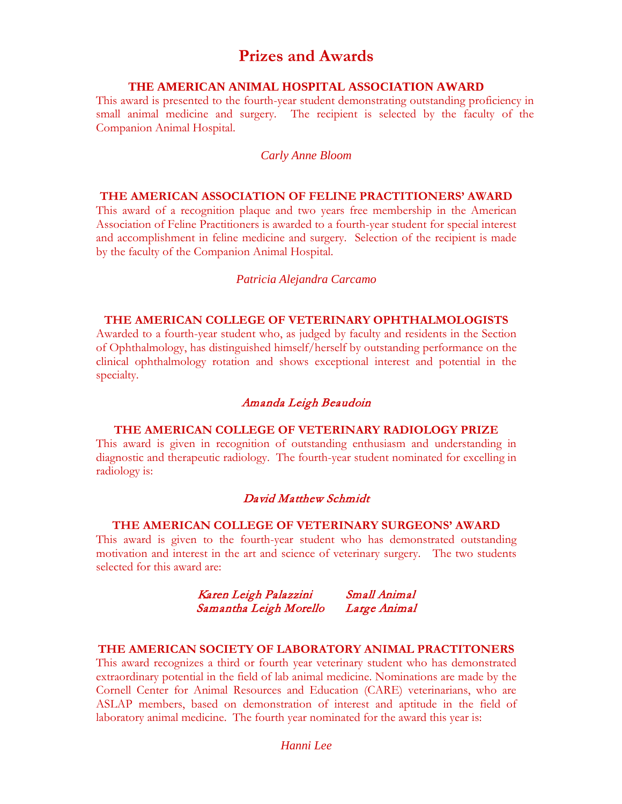# **Prizes and Awards**

### **THE AMERICAN ANIMAL HOSPITAL ASSOCIATION AWARD**

This award is presented to the fourth-year student demonstrating outstanding proficiency in small animal medicine and surgery. The recipient is selected by the faculty of the Companion Animal Hospital.

### *Carly Anne Bloom*

#### **THE AMERICAN ASSOCIATION OF FELINE PRACTITIONERS' AWARD**

This award of a recognition plaque and two years free membership in the American Association of Feline Practitioners is awarded to a fourth-year student for special interest and accomplishment in feline medicine and surgery. Selection of the recipient is made by the faculty of the Companion Animal Hospital.

#### *Patricia Alejandra Carcamo*

# **THE AMERICAN COLLEGE OF VETERINARY OPHTHALMOLOGISTS**

Awarded to a fourth-year student who, as judged by faculty and residents in the Section of Ophthalmology, has distinguished himself/herself by outstanding performance on the clinical ophthalmology rotation and shows exceptional interest and potential in the specialty.

#### Amanda Leigh Beaudoin

### **THE AMERICAN COLLEGE OF VETERINARY RADIOLOGY PRIZE**

This award is given in recognition of outstanding enthusiasm and understanding in diagnostic and therapeutic radiology. The fourth-year student nominated for excelling in radiology is:

# David Matthew Schmidt

## **THE AMERICAN COLLEGE OF VETERINARY SURGEONS' AWARD**

This award is given to the fourth-year student who has demonstrated outstanding motivation and interest in the art and science of veterinary surgery. The two students selected for this award are:

# Karen Leigh Palazzini Small Animal Samantha Leigh Morello Large Animal

### **THE AMERICAN SOCIETY OF LABORATORY ANIMAL PRACTITONERS**

This award recognizes a third or fourth year veterinary student who has demonstrated extraordinary potential in the field of lab animal medicine. Nominations are made by the Cornell Center for Animal Resources and Education (CARE) veterinarians, who are ASLAP members, based on demonstration of interest and aptitude in the field of laboratory animal medicine. The fourth year nominated for the award this year is:

### *Hanni Lee*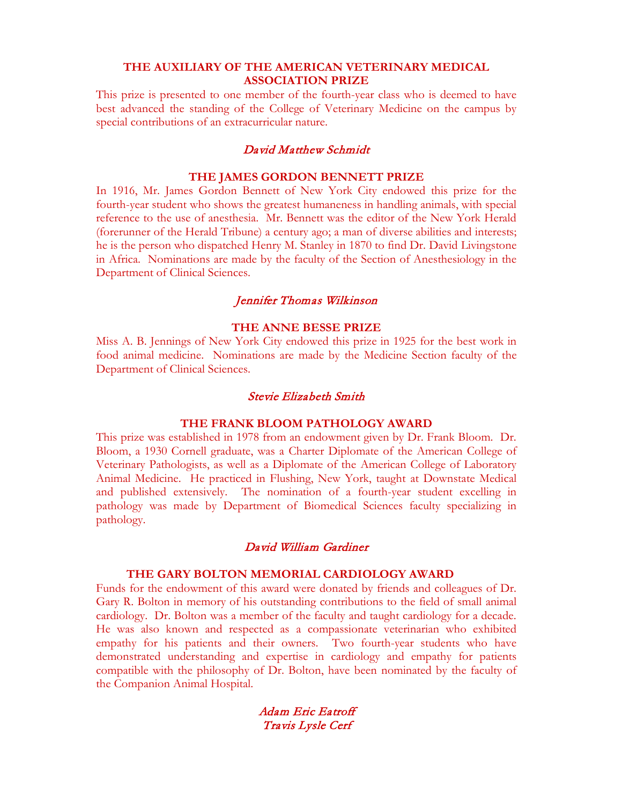### **THE AUXILIARY OF THE AMERICAN VETERINARY MEDICAL ASSOCIATION PRIZE**

This prize is presented to one member of the fourth-year class who is deemed to have best advanced the standing of the College of Veterinary Medicine on the campus by special contributions of an extracurricular nature.

#### David Matthew Schmidt

#### **THE JAMES GORDON BENNETT PRIZE**

In 1916, Mr. James Gordon Bennett of New York City endowed this prize for the fourth-year student who shows the greatest humaneness in handling animals, with special reference to the use of anesthesia. Mr. Bennett was the editor of the New York Herald (forerunner of the Herald Tribune) a century ago; a man of diverse abilities and interests; he is the person who dispatched Henry M. Stanley in 1870 to find Dr. David Livingstone in Africa. Nominations are made by the faculty of the Section of Anesthesiology in the Department of Clinical Sciences.

### Jennifer Thomas Wilkinson

#### **THE ANNE BESSE PRIZE**

Miss A. B. Jennings of New York City endowed this prize in 1925 for the best work in food animal medicine. Nominations are made by the Medicine Section faculty of the Department of Clinical Sciences.

### Stevie Elizabeth Smith

#### **THE FRANK BLOOM PATHOLOGY AWARD**

This prize was established in 1978 from an endowment given by Dr. Frank Bloom. Dr. Bloom, a 1930 Cornell graduate, was a Charter Diplomate of the American College of Veterinary Pathologists, as well as a Diplomate of the American College of Laboratory Animal Medicine. He practiced in Flushing, New York, taught at Downstate Medical and published extensively. The nomination of a fourth-year student excelling in pathology was made by Department of Biomedical Sciences faculty specializing in pathology.

### David William Gardiner

#### **THE GARY BOLTON MEMORIAL CARDIOLOGY AWARD**

Funds for the endowment of this award were donated by friends and colleagues of Dr. Gary R. Bolton in memory of his outstanding contributions to the field of small animal cardiology. Dr. Bolton was a member of the faculty and taught cardiology for a decade. He was also known and respected as a compassionate veterinarian who exhibited empathy for his patients and their owners. Two fourth-year students who have demonstrated understanding and expertise in cardiology and empathy for patients compatible with the philosophy of Dr. Bolton, have been nominated by the faculty of the Companion Animal Hospital.

> Adam Eric Eatroff Travis Lysle Cerf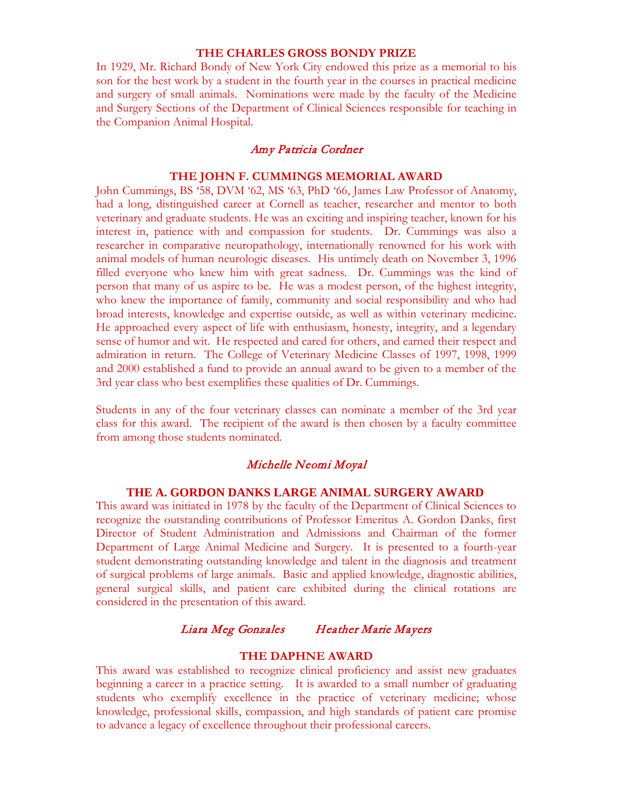#### **THE CHARLES GROSS BONDY PRIZE**

In 1929, Mr. Richard Bondy of New York City endowed this prize as a memorial to his son for the best work by a student in the fourth year in the courses in practical medicine and surgery of small animals. Nominations were made by the faculty of the Medicine and Surgery Sections of the Department of Clinical Sciences responsible for teaching in the Companion Animal Hospital.

### Amy Patricia Cordner

#### **THE JOHN F. CUMMINGS MEMORIAL AWARD**

John Cummings, BS '58, DVM '62, MS '63, PhD '66, James Law Professor of Anatomy, had a long, distinguished career at Cornell as teacher, researcher and mentor to both veterinary and graduate students. He was an exciting and inspiring teacher, known for his interest in, patience with and compassion for students. Dr. Cummings was also a researcher in comparative neuropathology, internationally renowned for his work with animal models of human neurologic diseases. His untimely death on November 3, 1996 filled everyone who knew him with great sadness. Dr. Cummings was the kind of person that many of us aspire to be. He was a modest person, of the highest integrity, who knew the importance of family, community and social responsibility and who had broad interests, knowledge and expertise outside, as well as within veterinary medicine. He approached every aspect of life with enthusiasm, honesty, integrity, and a legendary sense of humor and wit. He respected and cared for others, and earned their respect and admiration in return. The College of Veterinary Medicine Classes of 1997, 1998, 1999 and 2000 established a fund to provide an annual award to be given to a member of the 3rd year class who best exemplifies these qualities of Dr. Cummings.

Students in any of the four veterinary classes can nominate a member of the 3rd year class for this award. The recipient of the award is then chosen by a faculty committee from among those students nominated*.* 

### Michelle Neomi Moyal

### **THE A. GORDON DANKS LARGE ANIMAL SURGERY AWARD**

This award was initiated in 1978 by the faculty of the Department of Clinical Sciences to recognize the outstanding contributions of Professor Emeritus A. Gordon Danks, first Director of Student Administration and Admissions and Chairman of the former Department of Large Animal Medicine and Surgery. It is presented to a fourth-year student demonstrating outstanding knowledge and talent in the diagnosis and treatment of surgical problems of large animals. Basic and applied knowledge, diagnostic abilities, general surgical skills, and patient care exhibited during the clinical rotations are considered in the presentation of this award.

### Liara Meg Gonzales Heather Marie Mayers

#### **THE DAPHNE AWARD**

This award was established to recognize clinical proficiency and assist new graduates beginning a career in a practice setting. It is awarded to a small number of graduating students who exemplify excellence in the practice of veterinary medicine; whose knowledge, professional skills, compassion, and high standards of patient care promise to advance a legacy of excellence throughout their professional careers.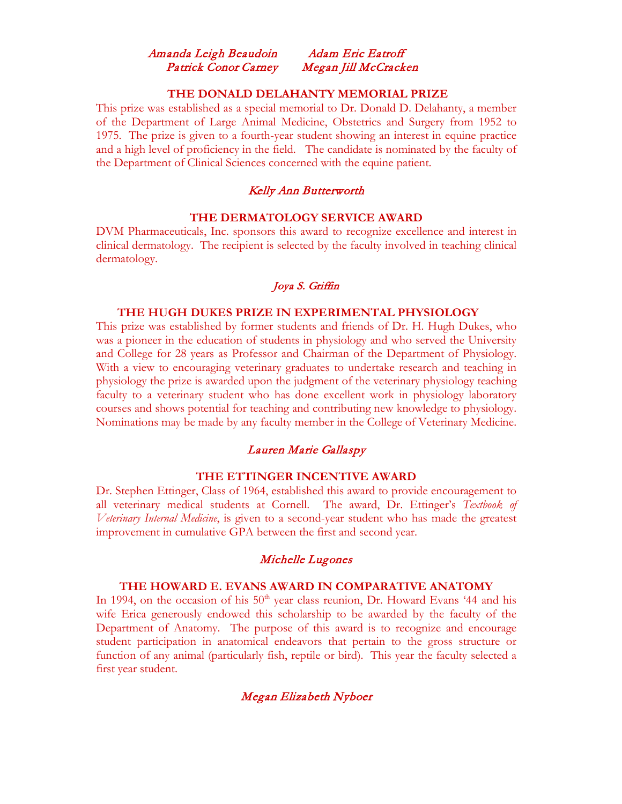# Amanda Leigh Beaudoin Adam Eric Eatroff Patrick Conor Carney Megan Jill McCracken

### **THE DONALD DELAHANTY MEMORIAL PRIZE**

This prize was established as a special memorial to Dr. Donald D. Delahanty, a member of the Department of Large Animal Medicine, Obstetrics and Surgery from 1952 to 1975. The prize is given to a fourth-year student showing an interest in equine practice and a high level of proficiency in the field. The candidate is nominated by the faculty of the Department of Clinical Sciences concerned with the equine patient.

# Kelly Ann Butterworth

### **THE DERMATOLOGY SERVICE AWARD**

DVM Pharmaceuticals, Inc. sponsors this award to recognize excellence and interest in clinical dermatology. The recipient is selected by the faculty involved in teaching clinical dermatology.

### Joya S. Griffin

#### **THE HUGH DUKES PRIZE IN EXPERIMENTAL PHYSIOLOGY**

This prize was established by former students and friends of Dr. H. Hugh Dukes, who was a pioneer in the education of students in physiology and who served the University and College for 28 years as Professor and Chairman of the Department of Physiology. With a view to encouraging veterinary graduates to undertake research and teaching in physiology the prize is awarded upon the judgment of the veterinary physiology teaching faculty to a veterinary student who has done excellent work in physiology laboratory courses and shows potential for teaching and contributing new knowledge to physiology. Nominations may be made by any faculty member in the College of Veterinary Medicine.

#### Lauren Marie Gallaspy

#### **THE ETTINGER INCENTIVE AWARD**

Dr. Stephen Ettinger, Class of 1964, established this award to provide encouragement to all veterinary medical students at Cornell. The award, Dr. Ettinger's *Textbook of Veterinary Internal Medicine*, is given to a second-year student who has made the greatest improvement in cumulative GPA between the first and second year.

#### Michelle Lugones

### **THE HOWARD E. EVANS AWARD IN COMPARATIVE ANATOMY**

In 1994, on the occasion of his  $50<sup>th</sup>$  year class reunion, Dr. Howard Evans '44 and his wife Erica generously endowed this scholarship to be awarded by the faculty of the Department of Anatomy. The purpose of this award is to recognize and encourage student participation in anatomical endeavors that pertain to the gross structure or function of any animal (particularly fish, reptile or bird). This year the faculty selected a first year student.

#### Megan Elizabeth Nyboer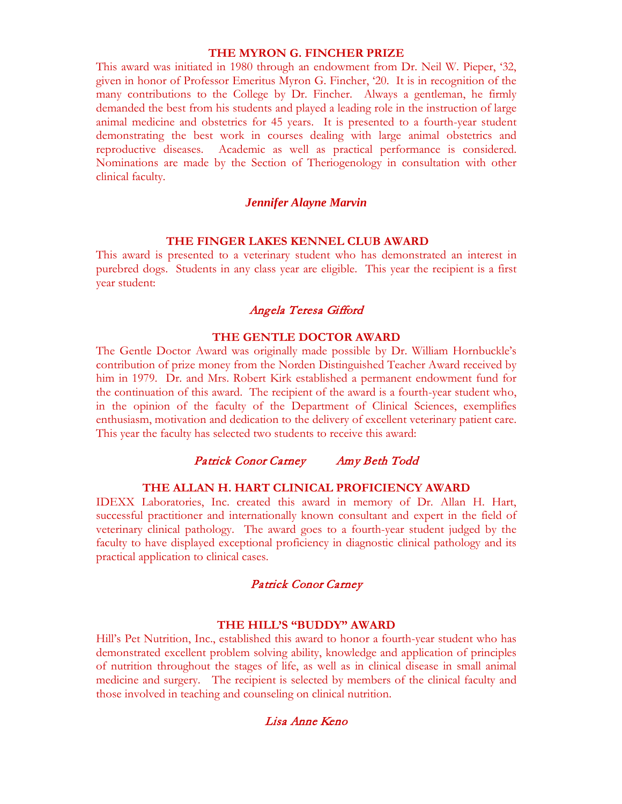### **THE MYRON G. FINCHER PRIZE**

This award was initiated in 1980 through an endowment from Dr. Neil W. Pieper, '32, given in honor of Professor Emeritus Myron G. Fincher, '20. It is in recognition of the many contributions to the College by Dr. Fincher. Always a gentleman, he firmly demanded the best from his students and played a leading role in the instruction of large animal medicine and obstetrics for 45 years. It is presented to a fourth-year student demonstrating the best work in courses dealing with large animal obstetrics and reproductive diseases. Academic as well as practical performance is considered. Nominations are made by the Section of Theriogenology in consultation with other clinical faculty.

#### *Jennifer Alayne Marvin*

#### **THE FINGER LAKES KENNEL CLUB AWARD**

This award is presented to a veterinary student who has demonstrated an interest in purebred dogs. Students in any class year are eligible. This year the recipient is a first year student:

### Angela Teresa Gifford

#### **THE GENTLE DOCTOR AWARD**

The Gentle Doctor Award was originally made possible by Dr. William Hornbuckle's contribution of prize money from the Norden Distinguished Teacher Award received by him in 1979. Dr. and Mrs. Robert Kirk established a permanent endowment fund for the continuation of this award. The recipient of the award is a fourth-year student who, in the opinion of the faculty of the Department of Clinical Sciences, exemplifies enthusiasm, motivation and dedication to the delivery of excellent veterinary patient care. This year the faculty has selected two students to receive this award:

#### Patrick Conor Carney Amy Beth Todd

#### **THE ALLAN H. HART CLINICAL PROFICIENCY AWARD**

IDEXX Laboratories, Inc. created this award in memory of Dr. Allan H. Hart, successful practitioner and internationally known consultant and expert in the field of veterinary clinical pathology. The award goes to a fourth-year student judged by the faculty to have displayed exceptional proficiency in diagnostic clinical pathology and its practical application to clinical cases.

### Patrick Conor Carney

#### **THE HILL'S "BUDDY" AWARD**

Hill's Pet Nutrition, Inc., established this award to honor a fourth-year student who has demonstrated excellent problem solving ability, knowledge and application of principles of nutrition throughout the stages of life, as well as in clinical disease in small animal medicine and surgery. The recipient is selected by members of the clinical faculty and those involved in teaching and counseling on clinical nutrition.

### Lisa Anne Keno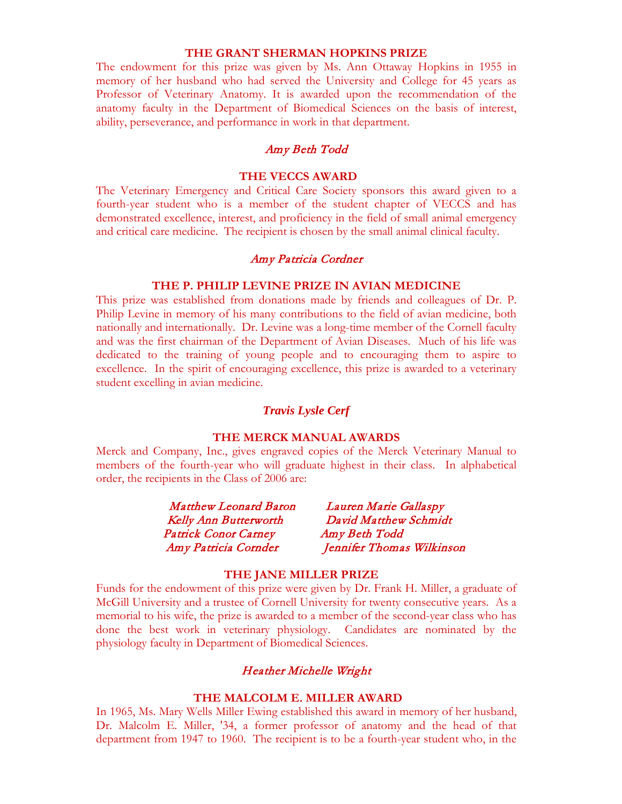#### **THE GRANT SHERMAN HOPKINS PRIZE**

The endowment for this prize was given by Ms. Ann Ottaway Hopkins in 1955 in memory of her husband who had served the University and College for 45 years as Professor of Veterinary Anatomy. It is awarded upon the recommendation of the anatomy faculty in the Department of Biomedical Sciences on the basis of interest, ability, perseverance, and performance in work in that department.

### Amy Beth Todd

#### **THE VECCS AWARD**

The Veterinary Emergency and Critical Care Society sponsors this award given to a fourth-year student who is a member of the student chapter of VECCS and has demonstrated excellence, interest, and proficiency in the field of small animal emergency and critical care medicine. The recipient is chosen by the small animal clinical faculty.

#### Amy Patricia Cordner

### **THE P. PHILIP LEVINE PRIZE IN AVIAN MEDICINE**

This prize was established from donations made by friends and colleagues of Dr. P. Philip Levine in memory of his many contributions to the field of avian medicine, both nationally and internationally. Dr. Levine was a long-time member of the Cornell faculty and was the first chairman of the Department of Avian Diseases. Much of his life was dedicated to the training of young people and to encouraging them to aspire to excellence. In the spirit of encouraging excellence, this prize is awarded to a veterinary student excelling in avian medicine.

### *Travis Lysle Cerf*

#### **THE MERCK MANUAL AWARDS**

Merck and Company, Inc., gives engraved copies of the Merck Veterinary Manual to members of the fourth-year who will graduate highest in their class. In alphabetical order, the recipients in the Class of 2006 are:

| <b>Matthew Leonard Baron</b> | Lauren Marie Gallaspy     |
|------------------------------|---------------------------|
| <b>Kelly Ann Butterworth</b> | David Matthew Schmidt     |
| <b>Patrick Conor Carney</b>  | Amy Beth Todd             |
| Amy Patricia Cornder         | Jennifer Thomas Wilkinson |

### **THE JANE MILLER PRIZE**

Funds for the endowment of this prize were given by Dr. Frank H. Miller, a graduate of McGill University and a trustee of Cornell University for twenty consecutive years. As a memorial to his wife, the prize is awarded to a member of the second-year class who has done the best work in veterinary physiology. Candidates are nominated by the physiology faculty in Department of Biomedical Sciences.

### Heather Michelle Wright

#### **THE MALCOLM E. MILLER AWARD**

In 1965, Ms. Mary Wells Miller Ewing established this award in memory of her husband, Dr. Malcolm E. Miller, '34, a former professor of anatomy and the head of that department from 1947 to 1960. The recipient is to be a fourth-year student who, in the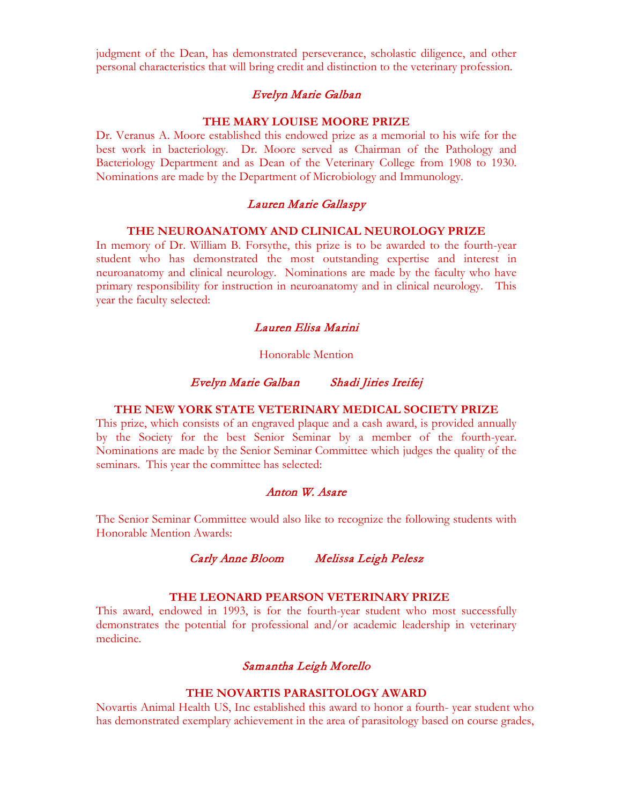judgment of the Dean, has demonstrated perseverance, scholastic diligence, and other personal characteristics that will bring credit and distinction to the veterinary profession.

### Evelyn Marie Galban

#### **THE MARY LOUISE MOORE PRIZE**

Dr. Veranus A. Moore established this endowed prize as a memorial to his wife for the best work in bacteriology. Dr. Moore served as Chairman of the Pathology and Bacteriology Department and as Dean of the Veterinary College from 1908 to 1930. Nominations are made by the Department of Microbiology and Immunology.

#### Lauren Marie Gallaspy

#### **THE NEUROANATOMY AND CLINICAL NEUROLOGY PRIZE**

In memory of Dr. William B. Forsythe, this prize is to be awarded to the fourth-year student who has demonstrated the most outstanding expertise and interest in neuroanatomy and clinical neurology. Nominations are made by the faculty who have primary responsibility for instruction in neuroanatomy and in clinical neurology. This year the faculty selected:

# Lauren Elisa Marini

#### Honorable Mention

### Evelyn Marie Galban Shadi Jiries Ireifej

### **THE NEW YORK STATE VETERINARY MEDICAL SOCIETY PRIZE**

This prize, which consists of an engraved plaque and a cash award, is provided annually by the Society for the best Senior Seminar by a member of the fourth-year. Nominations are made by the Senior Seminar Committee which judges the quality of the seminars. This year the committee has selected:

### Anton W. Asare

The Senior Seminar Committee would also like to recognize the following students with Honorable Mention Awards:

### Carly Anne Bloom Melissa Leigh Pelesz

### **THE LEONARD PEARSON VETERINARY PRIZE**

This award, endowed in 1993, is for the fourth-year student who most successfully demonstrates the potential for professional and/or academic leadership in veterinary medicine.

# Samantha Leigh Morello

# **THE NOVARTIS PARASITOLOGY AWARD**

Novartis Animal Health US, Inc established this award to honor a fourth- year student who has demonstrated exemplary achievement in the area of parasitology based on course grades,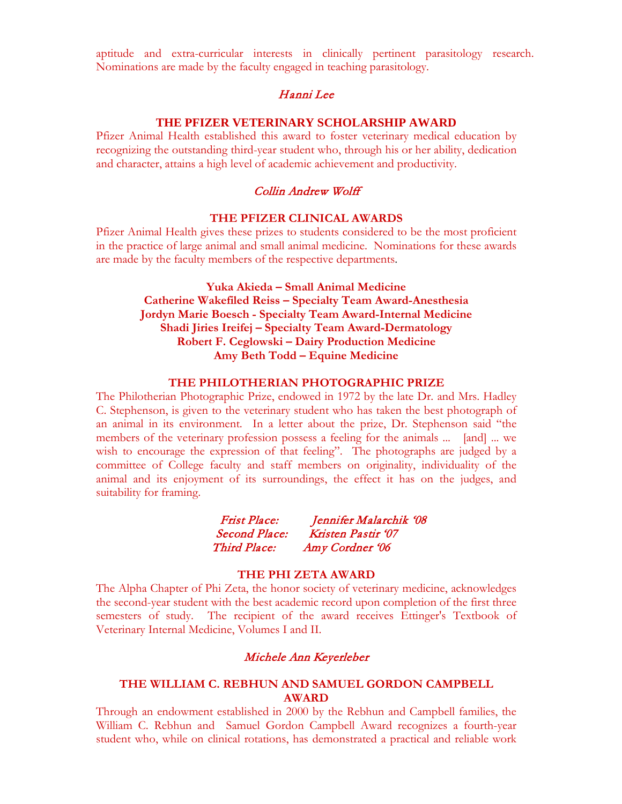aptitude and extra-curricular interests in clinically pertinent parasitology research. Nominations are made by the faculty engaged in teaching parasitology.

### Hanni Lee

#### **THE PFIZER VETERINARY SCHOLARSHIP AWARD**

Pfizer Animal Health established this award to foster veterinary medical education by recognizing the outstanding third-year student who, through his or her ability, dedication and character, attains a high level of academic achievement and productivity.

### Collin Andrew Wolff

### **THE PFIZER CLINICAL AWARDS**

Pfizer Animal Health gives these prizes to students considered to be the most proficient in the practice of large animal and small animal medicine. Nominations for these awards are made by the faculty members of the respective departments.

> **Yuka Akieda – Small Animal Medicine Catherine Wakefiled Reiss – Specialty Team Award-Anesthesia Jordyn Marie Boesch - Specialty Team Award-Internal Medicine Shadi Jiries Ireifej – Specialty Team Award-Dermatology Robert F. Ceglowski – Dairy Production Medicine Amy Beth Todd – Equine Medicine**

#### **THE PHILOTHERIAN PHOTOGRAPHIC PRIZE**

The Philotherian Photographic Prize, endowed in 1972 by the late Dr. and Mrs. Hadley C. Stephenson, is given to the veterinary student who has taken the best photograph of an animal in its environment. In a letter about the prize, Dr. Stephenson said "the members of the veterinary profession possess a feeling for the animals ... [and] ... we wish to encourage the expression of that feeling". The photographs are judged by a committee of College faculty and staff members on originality, individuality of the animal and its enjoyment of its surroundings, the effect it has on the judges, and suitability for framing.

| <b>Frist Place:</b>  | Jennifer Malarchik '08 |
|----------------------|------------------------|
| <i>Second Place:</i> | Kristen Pastir '07     |
| <i>Third Place:</i>  | Amy Cordner '06        |

#### **THE PHI ZETA AWARD**

The Alpha Chapter of Phi Zeta, the honor society of veterinary medicine, acknowledges the second-year student with the best academic record upon completion of the first three semesters of study. The recipient of the award receives Ettinger's Textbook of Veterinary Internal Medicine, Volumes I and II.

#### Michele Ann Keyerleber

### **THE WILLIAM C. REBHUN AND SAMUEL GORDON CAMPBELL AWARD**

Through an endowment established in 2000 by the Rebhun and Campbell families, the William C. Rebhun and Samuel Gordon Campbell Award recognizes a fourth-year student who, while on clinical rotations, has demonstrated a practical and reliable work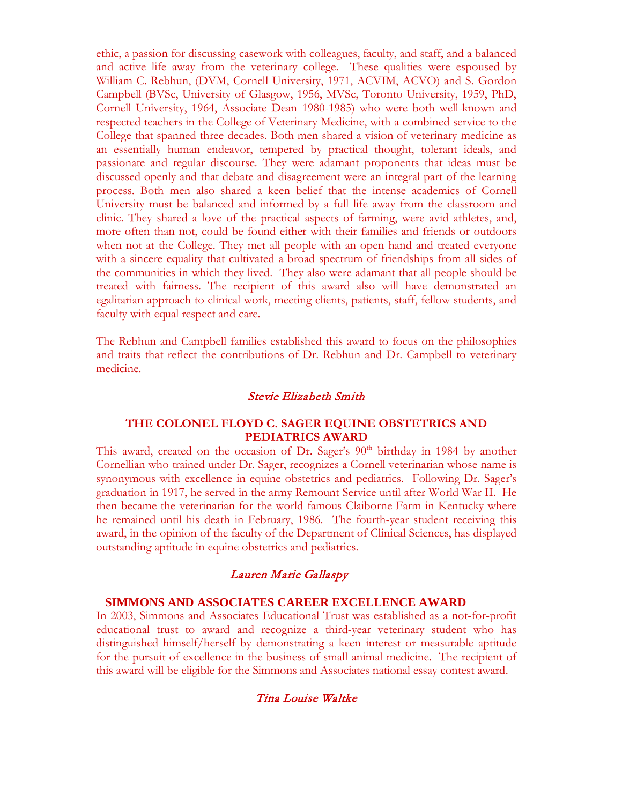ethic, a passion for discussing casework with colleagues, faculty, and staff, and a balanced and active life away from the veterinary college. These qualities were espoused by William C. Rebhun, (DVM, Cornell University, 1971, ACVIM, ACVO) and S. Gordon Campbell (BVSc, University of Glasgow, 1956, MVSc, Toronto University, 1959, PhD, Cornell University, 1964, Associate Dean 1980-1985) who were both well-known and respected teachers in the College of Veterinary Medicine, with a combined service to the College that spanned three decades. Both men shared a vision of veterinary medicine as an essentially human endeavor, tempered by practical thought, tolerant ideals, and passionate and regular discourse. They were adamant proponents that ideas must be discussed openly and that debate and disagreement were an integral part of the learning process. Both men also shared a keen belief that the intense academics of Cornell University must be balanced and informed by a full life away from the classroom and clinic. They shared a love of the practical aspects of farming, were avid athletes, and, more often than not, could be found either with their families and friends or outdoors when not at the College. They met all people with an open hand and treated everyone with a sincere equality that cultivated a broad spectrum of friendships from all sides of the communities in which they lived. They also were adamant that all people should be treated with fairness. The recipient of this award also will have demonstrated an egalitarian approach to clinical work, meeting clients, patients, staff, fellow students, and faculty with equal respect and care.

The Rebhun and Campbell families established this award to focus on the philosophies and traits that reflect the contributions of Dr. Rebhun and Dr. Campbell to veterinary medicine.

#### Stevie Elizabeth Smith

#### **THE COLONEL FLOYD C. SAGER EQUINE OBSTETRICS AND PEDIATRICS AWARD**

This award, created on the occasion of Dr. Sager's  $90<sup>th</sup>$  birthday in 1984 by another Cornellian who trained under Dr. Sager, recognizes a Cornell veterinarian whose name is synonymous with excellence in equine obstetrics and pediatrics. Following Dr. Sager's graduation in 1917, he served in the army Remount Service until after World War II. He then became the veterinarian for the world famous Claiborne Farm in Kentucky where he remained until his death in February, 1986. The fourth-year student receiving this award, in the opinion of the faculty of the Department of Clinical Sciences, has displayed outstanding aptitude in equine obstetrics and pediatrics.

## Lauren Marie Gallaspy

#### **SIMMONS AND ASSOCIATES CAREER EXCELLENCE AWARD**

In 2003, Simmons and Associates Educational Trust was established as a not-for-profit educational trust to award and recognize a third-year veterinary student who has distinguished himself/herself by demonstrating a keen interest or measurable aptitude for the pursuit of excellence in the business of small animal medicine. The recipient of this award will be eligible for the Simmons and Associates national essay contest award.

### Tina Louise Waltke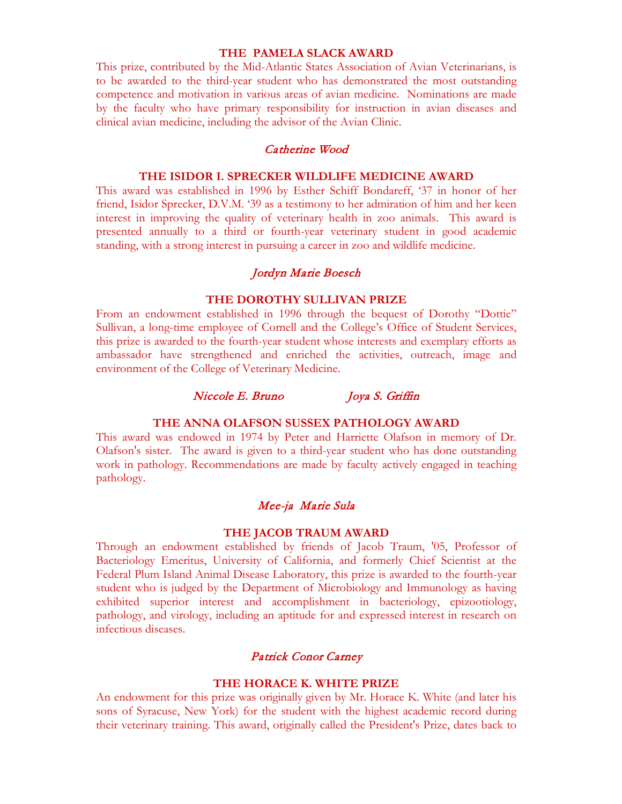### **THE PAMELA SLACK AWARD**

This prize, contributed by the Mid-Atlantic States Association of Avian Veterinarians, is to be awarded to the third-year student who has demonstrated the most outstanding competence and motivation in various areas of avian medicine. Nominations are made by the faculty who have primary responsibility for instruction in avian diseases and clinical avian medicine, including the advisor of the Avian Clinic.

#### Catherine Wood

#### **THE ISIDOR I. SPRECKER WILDLIFE MEDICINE AWARD**

This award was established in 1996 by Esther Schiff Bondareff, '37 in honor of her friend, Isidor Sprecker, D.V.M. '39 as a testimony to her admiration of him and her keen interest in improving the quality of veterinary health in zoo animals. This award is presented annually to a third or fourth-year veterinary student in good academic standing, with a strong interest in pursuing a career in zoo and wildlife medicine.

### Jordyn Marie Boesch

#### **THE DOROTHY SULLIVAN PRIZE**

From an endowment established in 1996 through the bequest of Dorothy "Dottie" Sullivan, a long-time employee of Cornell and the College's Office of Student Services, this prize is awarded to the fourth-year student whose interests and exemplary efforts as ambassador have strengthened and enriched the activities, outreach, image and environment of the College of Veterinary Medicine.

#### Niccole E. Bruno Joya S. Griffin

#### **THE ANNA OLAFSON SUSSEX PATHOLOGY AWARD**

This award was endowed in 1974 by Peter and Harriette Olafson in memory of Dr. Olafson's sister. The award is given to a third-year student who has done outstanding work in pathology. Recommendations are made by faculty actively engaged in teaching pathology.

#### Mee-ja Marie Sula

#### **THE JACOB TRAUM AWARD**

Through an endowment established by friends of Jacob Traum, '05, Professor of Bacteriology Emeritus, University of California, and formerly Chief Scientist at the Federal Plum Island Animal Disease Laboratory, this prize is awarded to the fourth-year student who is judged by the Department of Microbiology and Immunology as having exhibited superior interest and accomplishment in bacteriology, epizootiology, pathology, and virology, including an aptitude for and expressed interest in research on infectious diseases.

### Patrick Conor Carney

#### **THE HORACE K. WHITE PRIZE**

An endowment for this prize was originally given by Mr. Horace K. White (and later his sons of Syracuse, New York) for the student with the highest academic record during their veterinary training. This award, originally called the President's Prize, dates back to